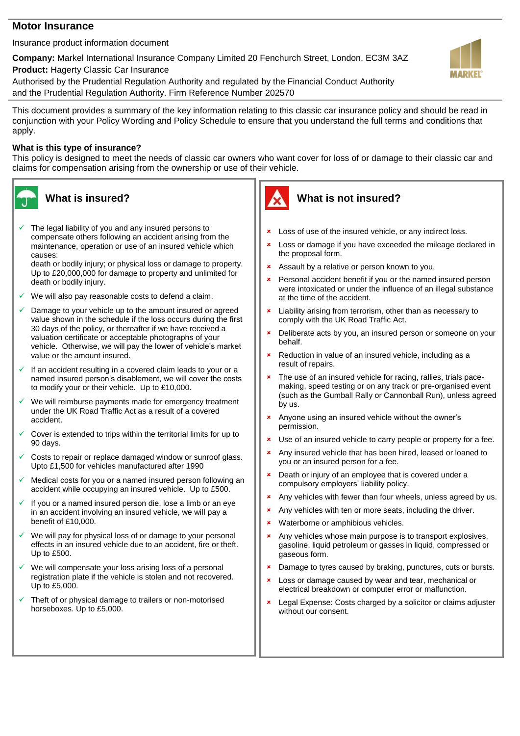### **Motor Insurance**

Insurance product information document

**Company:** Markel International Insurance Company Limited 20 Fenchurch Street, London, EC3M 3AZ

**Product:** Hagerty Classic Car Insurance

Authorised by the Prudential Regulation Authority and regulated by the Financial Conduct Authority and the Prudential Regulation Authority. Firm Reference Number 202570

This document provides a summary of the key information relating to this classic car insurance policy and should be read in conjunction with your Policy Wording and Policy Schedule to ensure that you understand the full terms and conditions that apply.

## **What is this type of insurance?**

This policy is designed to meet the needs of classic car owners who want cover for loss of or damage to their classic car and claims for compensation arising from the ownership or use of their vehicle.



 The legal liability of you and any insured persons to compensate others following an accident arising from the maintenance, operation or use of an insured vehicle which causes:

death or bodily injury; or physical loss or damage to property. Up to £20,000,000 for damage to property and unlimited for death or bodily injury.

- We will also pay reasonable costs to defend a claim.
- Damage to your vehicle up to the amount insured or agreed value shown in the schedule if the loss occurs during the first 30 days of the policy, or thereafter if we have received a valuation certificate or acceptable photographs of your vehicle. Otherwise, we will pay the lower of vehicle's market value or the amount insured.
- If an accident resulting in a covered claim leads to your or a named insured person's disablement, we will cover the costs to modify your or their vehicle. Up to £10,000.
- We will reimburse payments made for emergency treatment under the UK Road Traffic Act as a result of a covered accident.
- Cover is extended to trips within the territorial limits for up to 90 days.
- Costs to repair or replace damaged window or sunroof glass. Upto £1,500 for vehicles manufactured after 1990
- Medical costs for you or a named insured person following an accident while occupying an insured vehicle. Up to £500.
- If you or a named insured person die, lose a limb or an eye in an accident involving an insured vehicle, we will pay a benefit of £10,000.
- We will pay for physical loss of or damage to your personal effects in an insured vehicle due to an accident, fire or theft. Up to £500.
- We will compensate your loss arising loss of a personal registration plate if the vehicle is stolen and not recovered. Up to £5,000.
- Theft of or physical damage to trailers or non-motorised horseboxes. Up to £5,000.



# **What is not insured?**

- **\*** Loss of use of the insured vehicle, or any indirect loss.
- **x** Loss or damage if you have exceeded the mileage declared in the proposal form.
- **\*** Assault by a relative or person known to you.
- **EX** Personal accident benefit if you or the named insured person were intoxicated or under the influence of an illegal substance at the time of the accident.
- **\*** Liability arising from terrorism, other than as necessary to comply with the UK Road Traffic Act.
- **EX** Deliberate acts by you, an insured person or someone on your behalf.
- **\*** Reduction in value of an insured vehicle, including as a result of repairs.
- \* The use of an insured vehicle for racing, rallies, trials pacemaking, speed testing or on any track or pre-organised event (such as the Gumball Rally or Cannonball Run), unless agreed by us.
- Anyone using an insured vehicle without the owner's permission.
- **x** Use of an insured vehicle to carry people or property for a fee.
- **\*** Any insured vehicle that has been hired, leased or loaned to you or an insured person for a fee.
- **EX** Death or injury of an employee that is covered under a compulsory employers' liability policy.
- **\*** Any vehicles with fewer than four wheels, unless agreed by us.
- **\*** Any vehicles with ten or more seats, including the driver.
- Waterborne or amphibious vehicles.
- **\*** Any vehicles whose main purpose is to transport explosives, gasoline, liquid petroleum or gasses in liquid, compressed or gaseous form.
- **x** Damage to tyres caused by braking, punctures, cuts or bursts.
- **x** Loss or damage caused by wear and tear, mechanical or electrical breakdown or computer error or malfunction.
- Legal Expense: Costs charged by a solicitor or claims adjuster without our consent.